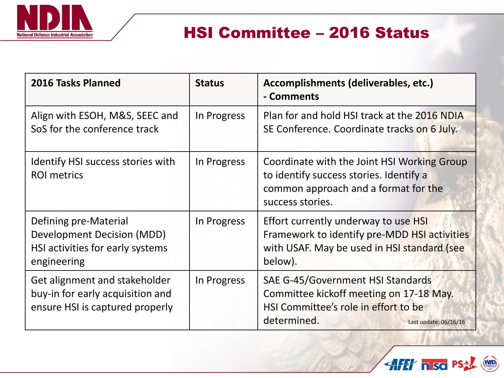

# HSI Committee – 2016 Status

| 2016 Tasks Planned                                                                                     | <b>Status</b> | Accomplishments (deliverables, etc.)<br>- Comments                                                                                                           |
|--------------------------------------------------------------------------------------------------------|---------------|--------------------------------------------------------------------------------------------------------------------------------------------------------------|
| Align with ESOH, M&S, SEEC and<br>SoS for the conference track                                         | In Progress   | Plan for and hold HSI track at the 2016 NDIA<br>SE Conference. Coordinate tracks on 6 July.                                                                  |
| Identify HSI success stories with<br><b>ROI</b> metrics                                                | In Progress   | Coordinate with the Joint HSI Working Group<br>to identify success stories. Identify a<br>common approach and a format for the<br>success stories.           |
| Defining pre-Material<br>Development Decision (MDD)<br>HSI activities for early systems<br>engineering | In Progress   | Effort currently underway to use HSI<br>Framework to identify pre-MDD HSI activities<br>with USAF. May be used in HSI standard (see<br>below).               |
| Get alignment and stakeholder<br>buy-in for early acquisition and<br>ensure HSI is captured properly   | In Progress   | SAE G-45/Government HSI Standards<br>Committee kickoff meeting on 17-18 May.<br>HSI Committee's role in effort to be<br>determined.<br>Last update: 06/16/16 |